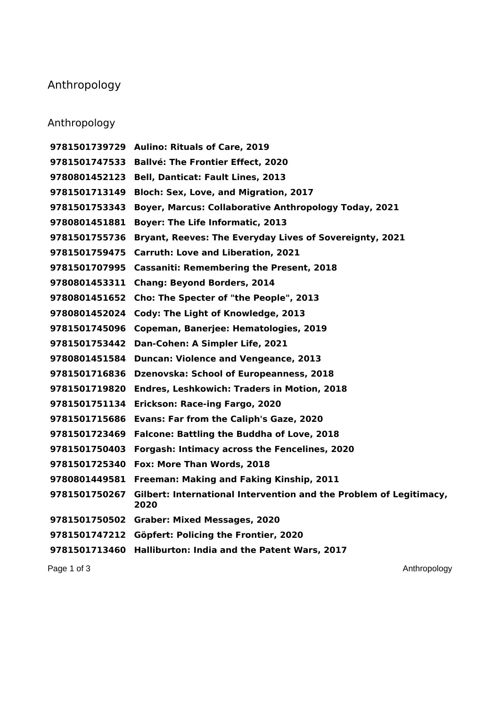## Anthropology

## Anthropology

 **Aulino: Rituals of Care, 2019 Ballvé: The Frontier Effect, 2020 Bell, Danticat: Fault Lines, 2013 Bloch: Sex, Love, and Migration, 2017 Boyer, Marcus: Collaborative Anthropology Today, 2021 Boyer: The Life Informatic, 2013 Bryant, Reeves: The Everyday Lives of Sovereignty, 2021 Carruth: Love and Liberation, 2021 Cassaniti: Remembering the Present, 2018 Chang: Beyond Borders, 2014 Cho: The Specter of "the People", 2013 Cody: The Light of Knowledge, 2013 Copeman, Banerjee: Hematologies, 2019 Dan-Cohen: A Simpler Life, 2021 Duncan: Violence and Vengeance, 2013 Dzenovska: School of Europeanness, 2018 Endres, Leshkowich: Traders in Motion, 2018 Erickson: Race-ing Fargo, 2020 Evans: Far from the Caliph's Gaze, 2020 Falcone: Battling the Buddha of Love, 2018 Forgash: Intimacy across the Fencelines, 2020 Fox: More Than Words, 2018 Freeman: Making and Faking Kinship, 2011 Gilbert: International Intervention and the Problem of Legitimacy, Graber: Mixed Messages, 2020 Göpfert: Policing the Frontier, 2020 Halliburton: India and the Patent Wars, 2017**

Page 1 of 3 Anthropology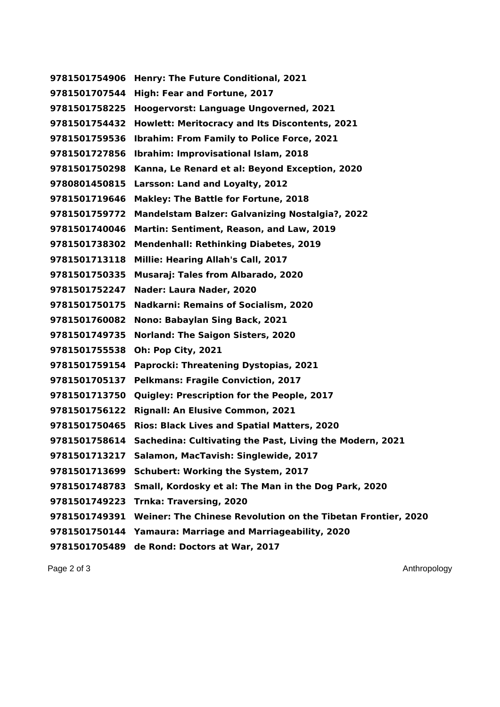**Henry: The Future Conditional, 2021 High: Fear and Fortune, 2017 Hoogervorst: Language Ungoverned, 2021 Howlett: Meritocracy and Its Discontents, 2021 Ibrahim: From Family to Police Force, 2021 Ibrahim: Improvisational Islam, 2018 Kanna, Le Renard et al: Beyond Exception, 2020 Larsson: Land and Loyalty, 2012 Makley: The Battle for Fortune, 2018 Mandelstam Balzer: Galvanizing Nostalgia?, 2022 Martin: Sentiment, Reason, and Law, 2019 Mendenhall: Rethinking Diabetes, 2019 Millie: Hearing Allah's Call, 2017 Musaraj: Tales from Albarado, 2020 Nader: Laura Nader, 2020 Nadkarni: Remains of Socialism, 2020 Nono: Babaylan Sing Back, 2021 Norland: The Saigon Sisters, 2020 Oh: Pop City, 2021 Paprocki: Threatening Dystopias, 2021 Pelkmans: Fragile Conviction, 2017 Quigley: Prescription for the People, 2017 Rignall: An Elusive Common, 2021 Rios: Black Lives and Spatial Matters, 2020 Sachedina: Cultivating the Past, Living the Modern, 2021 Salamon, MacTavish: Singlewide, 2017 Schubert: Working the System, 2017 Small, Kordosky et al: The Man in the Dog Park, 2020 Trnka: Traversing, 2020 Weiner: The Chinese Revolution on the Tibetan Frontier, 2020 Yamaura: Marriage and Marriageability, 2020 de Rond: Doctors at War, 2017**

Page 2 of 3 Anthropology